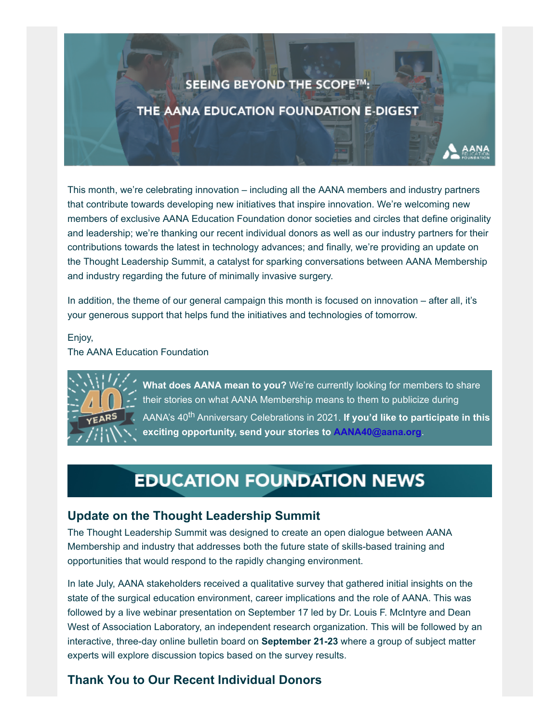## SEEING BEYOND THE SCOPE™:

### THE AANA EDUCATION FOUNDATION E-DIGEST

This month, we're celebrating innovation – including all the AANA members and industry partners that contribute towards developing new initiatives that inspire innovation. We're welcoming new members of exclusive AANA Education Foundation donor societies and circles that define originality and leadership; we're thanking our recent individual donors as well as our industry partners for their contributions towards the latest in technology advances; and finally, we're providing an update on the Thought Leadership Summit, a catalyst for sparking conversations between AANA Membership and industry regarding the future of minimally invasive surgery.

In addition, the theme of our general campaign this month is focused on innovation – after all, it's your generous support that helps fund the initiatives and technologies of tomorrow.

Enjoy,

The AANA Education Foundation



**What does AANA mean to you?** We're currently looking for members to share their stories on what AANA Membership means to them to publicize during AANA's 40<sup>th</sup> Anniversary Celebrations in 2021. If you'd like to participate in this **exciting opportunity, send your stories to [AANA40@aana.org](mailto:AANA40@aana.org?subject=AANA%20Member%20Testimonial)**.

# **EDUCATION FOUNDATION NEWS**

### **Update on the Thought Leadership Summit**

The Thought Leadership Summit was designed to create an open dialogue between AANA Membership and industry that addresses both the future state of skills-based training and opportunities that would respond to the rapidly changing environment.

In late July, AANA stakeholders received a qualitative survey that gathered initial insights on the state of the surgical education environment, career implications and the role of AANA. This was followed by a live webinar presentation on September 17 led by Dr. Louis F. McIntyre and Dean West of Association Laboratory, an independent research organization. This will be followed by an interactive, three-day online bulletin board on **September 21-23** where a group of subject matter experts will explore discussion topics based on the survey results.

## **Thank You to Our Recent Individual Donors**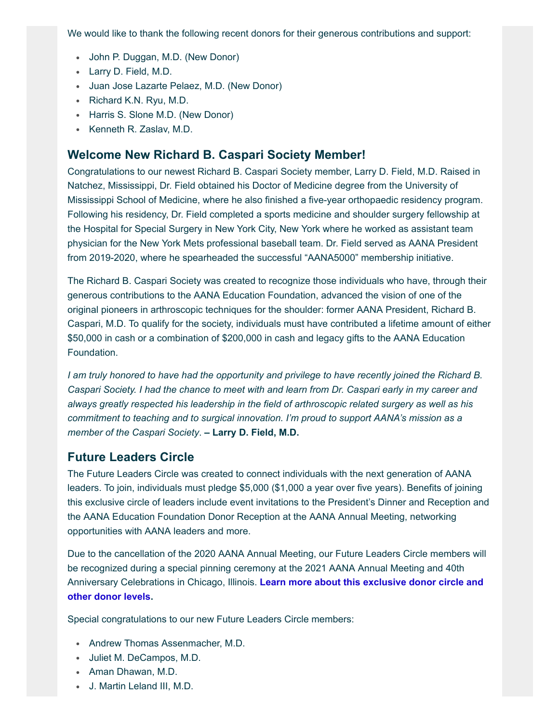We would like to thank the following recent donors for their generous contributions and support:

- John P. Duggan, M.D. (New Donor)
- Larry D. Field, M.D.
- Juan Jose Lazarte Pelaez, M.D. (New Donor)
- Richard K.N. Ryu, M.D.
- Harris S. Slone M.D. (New Donor)
- Kenneth R. Zaslav, M.D.

#### **Welcome New Richard B. Caspari Society Member!**

Congratulations to our newest Richard B. Caspari Society member, Larry D. Field, M.D. Raised in Natchez, Mississippi, Dr. Field obtained his Doctor of Medicine degree from the University of Mississippi School of Medicine, where he also finished a five-year orthopaedic residency program. Following his residency, Dr. Field completed a sports medicine and shoulder surgery fellowship at the Hospital for Special Surgery in New York City, New York where he worked as assistant team physician for the New York Mets professional baseball team. Dr. Field served as AANA President from 2019-2020, where he spearheaded the successful "AANA5000" membership initiative.

The Richard B. Caspari Society was created to recognize those individuals who have, through their generous contributions to the AANA Education Foundation, advanced the vision of one of the original pioneers in arthroscopic techniques for the shoulder: former AANA President, Richard B. Caspari, M.D. To qualify for the society, individuals must have contributed a lifetime amount of either \$50,000 in cash or a combination of \$200,000 in cash and legacy gifts to the AANA Education Foundation.

*I am truly honored to have had the opportunity and privilege to have recently joined the Richard B. Caspari Society. I had the chance to meet with and learn from Dr. Caspari early in my career and always greatly respected his leadership in the field of arthroscopic related surgery as well as his commitment to teaching and to surgical innovation. I'm proud to support AANA's mission as a member of the Caspari Society*. **– Larry D. Field, M.D.**

#### **Future Leaders Circle**

The Future Leaders Circle was created to connect individuals with the next generation of AANA leaders. To join, individuals must pledge \$5,000 (\$1,000 a year over five years). Benefits of joining this exclusive circle of leaders include event invitations to the President's Dinner and Reception and the AANA Education Foundation Donor Reception at the AANA Annual Meeting, networking opportunities with AANA leaders and more.

Due to the cancellation of the 2020 AANA Annual Meeting, our Future Leaders Circle members will be recognized during a special pinning ceremony at the 2021 AANA Annual Meeting and 40th Anniversary Celebrations in Chicago, Illinois. **[Learn more about this exclusive donor circle and](https://urldefense.proofpoint.com/v2/url?u=http-3A__aana.informz.net_z_cjUucD9taT0zMDQ3NTA3JnA9MSZ1PTM4MjI2MDQ1NiZsaT0yNTEyMzMyOQ_index.html&d=DwMCaQ&c=euGZstcaTDllvimEN8b7jXrwqOf-v5A_CdpgnVfiiMM&r=E-5-bqQyATtUU2EVLAWDFA&m=np82C8nuH93fPhcEd8qa0mE17BmltcVyALqRG-xHgVA&s=5GLmxkDYfnZr_q2uWkJwI5KkW6GQ3CqD_R9MAVBcmnY&e=) other donor levels.**

Special congratulations to our new Future Leaders Circle members:

- Andrew Thomas Assenmacher, M.D.
- Juliet M. DeCampos, M.D.
- Aman Dhawan, M.D.
- J. Martin Leland III, M.D.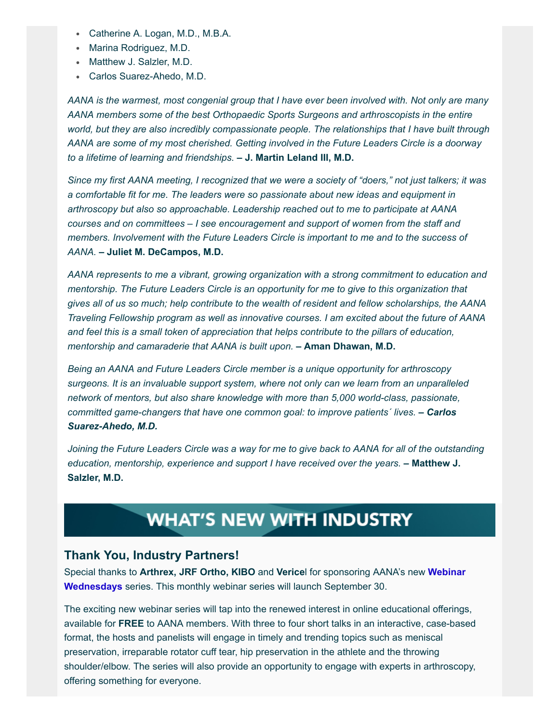- Catherine A. Logan, M.D., M.B.A.
- Marina Rodriguez, M.D.
- Matthew J. Salzler, M.D.
- Carlos Suarez-Ahedo, M.D.

*AANA is the warmest, most congenial group that I have ever been involved with. Not only are many AANA members some of the best Orthopaedic Sports Surgeons and arthroscopists in the entire world, but they are also incredibly compassionate people. The relationships that I have built through AANA are some of my most cherished. Getting involved in the Future Leaders Circle is a doorway to a lifetime of learning and friendships.* **– J. Martin Leland III, M.D.**

*Since my first AANA meeting, I recognized that we were a society of "doers," not just talkers; it was a comfortable fit for me. The leaders were so passionate about new ideas and equipment in arthroscopy but also so approachable. Leadership reached out to me to participate at AANA courses and on committees – I see encouragement and support of women from the staff and members. Involvement with the Future Leaders Circle is important to me and to the success of AANA.* **– Juliet M. DeCampos, M.D.**

*AANA represents to me a vibrant, growing organization with a strong commitment to education and mentorship. The Future Leaders Circle is an opportunity for me to give to this organization that gives all of us so much; help contribute to the wealth of resident and fellow scholarships, the AANA Traveling Fellowship program as well as innovative courses. I am excited about the future of AANA and feel this is a small token of appreciation that helps contribute to the pillars of education, mentorship and camaraderie that AANA is built upon.* **– Aman Dhawan, M.D.**

*Being an AANA and Future Leaders Circle member is a unique opportunity for arthroscopy surgeons. It is an invaluable support system, where not only can we learn from an unparalleled network of mentors, but also share knowledge with more than 5,000 world-class, passionate, committed game-changers that have one common goal: to improve patients´ lives. – Carlos Suarez-Ahedo, M.D.*

*Joining the Future Leaders Circle was a way for me to give back to AANA for all of the outstanding education, mentorship, experience and support I have received over the years.* **– Matthew J. Salzler, M.D.**

## **WHAT'S NEW WITH INDUSTRY**

#### **Thank You, Industry Partners!**

Special thanks to **Arthrex, JRF Ortho, KIBO** and **Verice**l for sponsoring AANA's new **Webinar Wednesdays** [series. This monthly webinar series will launch September 30.](https://www.aana.org/aanaimis/Members/webinar/Webinar-Wednesday.aspx)

The exciting new webinar series will tap into the renewed interest in online educational offerings, available for **FREE** to AANA members. With three to four short talks in an interactive, case-based format, the hosts and panelists will engage in timely and trending topics such as meniscal preservation, irreparable rotator cuff tear, hip preservation in the athlete and the throwing shoulder/elbow. The series will also provide an opportunity to engage with experts in arthroscopy, offering something for everyone.